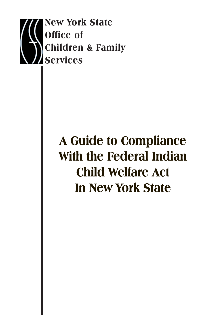

# **A Guide to Compliance With the Federal Indian Child Welfare Act In New York State**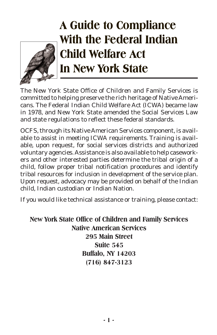

## **A Guide to Compliance With the Federal Indian Child Welfare Act In New York State**

The New York State Office of Children and Family Services is committed to helping preserve the rich heritage of Native Americans. The Federal Indian Child Welfare Act (ICWA) became law in 1978, and New York State amended the Social Services Law and state regulations to reflect these federal standards.

OCFS, through its Native American Services component, is available to assist in meeting ICWA requirements. Training is available, upon request, for social services districts and authorized voluntary agencies. Assistance is also available to help caseworkers and other interested parties determine the tribal origin of a child, follow proper tribal notification procedures and identify tribal resources for inclusion in development of the service plan. Upon request, advocacy may be provided on behalf of the Indian child, Indian custodian or Indian Nation.

If you would like technical assistance or training, please contact:

**New York State Office of Children and Family Services Native American Services 295 Main Street Suite 545 Buffalo, NY 14203 (716) 847-3123**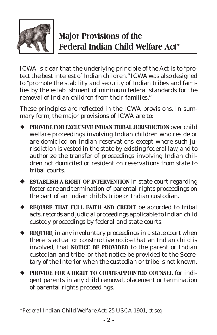

## **Major Provisions of the Federal Indian Child Welfare Act\***

ICWA is clear that the underlying principle of the Act is to "protect the best interest of Indian children." ICWA was also designed to "promote the stability and security of Indian tribes and families by the establishment of minimum federal standards for the removal of Indian children from their families."

These principles are reflected in the ICWA provisions. In summary form, the major provisions of ICWA are to:

- ¡ **PROVIDE FOR EXCLUSIVE INDIAN TRIBAL JURISDICTION** over child welfare proceedings involving Indian children who reside or are domiciled on Indian reservations except where such jurisdiction is vested in the state by existing federal law, and to authorize the transfer of proceedings involving Indian children not domiciled or resident on reservations from state to tribal courts.
- ¡ **ESTABLISH A RIGHT OF INTERVENTION** in state court regarding foster care and termination-of-parental-rights proceedings on the part of an Indian child's tribe or Indian custodian.
- ¡ **REQUIRE THAT FULL FAITH AND CREDIT** be accorded to tribal acts, records and judicial proceedings applicable to Indian child custody proceedings by federal and state courts.
- ◆ **REQUIRE**, in any involuntary proceedings in a state court when there is actual or constructive notice that an Indian child is involved, that **NOTICE BE PROVIDED** to the parent or Indian custodian and tribe, or that notice be provided to the Secretary of the Interior when the custodian or tribe is not known.
- ¡ **PROVIDE FOR A RIGHT TO COURT-APPOINTED COUNSEL** for indigent parents in any child removal, placement or termination of parental rights proceedings.

*<sup>\*</sup>Federal Indian Child Welfare Act: 25 USCA 1901, et seq.*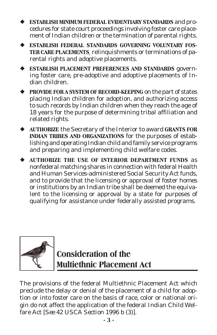¡ **ESTABLISH MINIMUM FEDERAL EVIDENTIARY STANDARDS** and procedures for state court proceedings involving foster care placement of Indian children or the termination of parental rights.

- **ESTABLISH FEDERAL STANDARDS GOVERNING VOLUNTARY FOS-TER CARE PLACEMENTS**, relinquishments or terminations of parental rights and adoptive placements.
- ¡ **ESTABLISH PLACEMENT PREFERENCES AND STANDARDS** governing foster care, pre-adoptive and adoptive placements of Indian children.
- ¡ **PROVIDE FOR A SYSTEM OF RECORD-KEEPING** on the part of states placing Indian children for adoption, and authorizing access to such records by Indian children when they reach the age of 18 years for the purpose of determining tribal affiliation and related rights.
- ¡ **AUTHORIZE** the Secretary of the Interior to award **GRANTS FOR INDIAN TRIBES AND ORGANIZATIONS** for the purposes of establishing and operating Indian child and family service programs and preparing and implementing child welfare codes.
- ¡ **AUTHORIZE THE USE OF INTERIOR DEPARTMENT FUNDS** as nonfederal matching shares in connection with federal Health and Human Services-administered Social Security Act funds, and to provide that the licensing or approval of foster homes or institutions by an Indian tribe shall be deemed the equivalent to the licensing or approval by a state for purposes of qualifying for assistance under federally assisted programs.



## **Consideration of the Multiethnic Placement Act**

The provisions of the federal Multiethnic Placement Act which preclude the delay or denial of the placement of a child for adoption or into foster care on the basis of race, color or national origin do not affect the application of the federal Indian Child Welfare Act [*See 42 USCA Section 1996 b (3)*].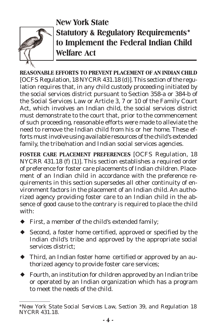

#### **New York State Statutory & Regulatory Requirements\* to Implement the Federal Indian Child Welfare Act**

**REASONABLE EFFORTS TO PREVENT PLACEMENT OF AN INDIAN CHILD** [*OCFS Regulation, 18 NYCRR 431.18 (d)*]. This section of the regulation requires that, in any child custody proceeding initiated by the social services district pursuant to Section 358-a or 384-b of the Social Services Law or Article 3, 7 or 10 of the Family Court Act, which involves an Indian child, the social services district must demonstrate to the court that, prior to the commencement of such proceeding, reasonable efforts were made to alleviate the need to remove the Indian child from his or her home. These efforts must involve using available resources of the child's extended family, the tribe/nation and Indian social services agencies.

**FOSTER CARE PLACEMENT PREFERENCES** [*OCFS Regulation, 18 NYCRR 431.18 (f) (1)*]. This section establishes a required order of preference for foster care placements of Indian children. Placement of an Indian child in accordance with the preference requirements in this section supersedes all other continuity of environment factors in the placement of an Indian child. An authorized agency providing foster care to an Indian child in the absence of good cause to the contrary is required to place the child with:

- $\blacklozenge$  First, a member of the child's extended family;
- ◆ Second, a foster home certified, approved or specified by the Indian child's tribe and approved by the appropriate social services district;
- ¡ Third, an Indian foster home certified or approved by an authorized agency to provide foster care services;
- $\blacklozenge$  Fourth, an institution for children approved by an Indian tribe or operated by an Indian organization which has a program to meet the needs of the child.

*<sup>\*</sup>New York State Social Services Law, Section 39, and Regulation 18 NYCRR 431.18.*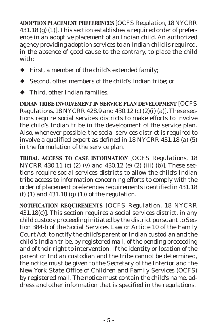**ADOPTION PLACEMENT PREFERENCES** [*OCFS Regulation, 18 NYCRR 431.18 (g) (1)*]. This section establishes a required order of preference in an adoptive placement of an Indian child. An authorized agency providing adoption services to an Indian child is required, in the absence of good cause to the contrary, to place the child with:

- ¡ First, a member of the child's extended family;
- ¡ Second, other members of the child's Indian tribe; or
- $\blacklozenge$  Third, other Indian families.

**INDIAN TRIBE INVOLVEMENT IN SERVICE PLAN DEVELOPMENT** [*OCFS Regulations, 18 NYCRR 428.9 and 430.12 (c) (2)(i) (a)*]. These sections require social services districts to make efforts to involve the child's Indian tribe in the development of the service plan. Also, whenever possible, the social services district is required to involve a qualified expert as defined in 18 NYCRR 431.18 (a) (5) in the formulation of the service plan.

**TRIBAL ACCESS TO CASE INFORMATION** [*OCFS Regulations, 18 NYCRR 430.11 (c) (2) (v) and 430.12 (e) (2) (iii) (b)*]. These sections require social services districts to allow the child's Indian tribe access to information concerning efforts to comply with the order of placement preferences requirements identified in 431.18 (f) (1) and 431.18 (g) (1)) of the regulation.

**NOTIFICATION REQUIREMENTS** [*OCFS Regulation, 18 NYCRR 431.18(c)*]. This section requires a social services district, in any child custody proceeding initiated by the district pursuant to Section 384-b of the Social Services Law or Article 10 of the Family Court Act, to notify the child's parent or Indian custodian and the child's Indian tribe, by registered mail, of the pending proceeding and of their right to intervention. If the identity or location of the parent or Indian custodian and the tribe cannot be determined, the notice must be given to the Secretary of the Interior and the New York State Office of Children and Family Services (OCFS) by registered mail. The notice must contain the child's name, address and other information that is specified in the regulations.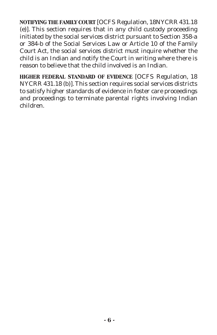**NOTIFYING THE FAMILY COURT** [*OCFS Regulation, 18NYCRR 431.18 (e)*]. This section requires that in any child custody proceeding initiated by the social services district pursuant to Section 358-a or 384-b of the Social Services Law or Article 10 of the Family Court Act, the social services district must inquire whether the child is an Indian and notify the Court in writing where there is reason to believe that the child involved is an Indian.

**HIGHER FEDERAL STANDARD OF EVIDENCE** [*OCFS Regulation, 18 NYCRR 431.18 (b)*]. This section requires social services districts to satisfy higher standards of evidence in foster care proceedings and proceedings to terminate parental rights involving Indian children.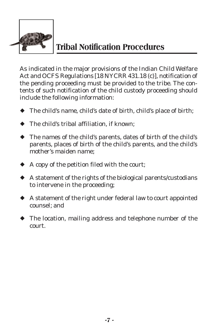

### **Tribal Notification Procedures**

As indicated in the major provisions of the Indian Child Welfare Act and OCFS Regulations [18 NYCRR 431.18 (c)], notification of the pending proceeding must be provided to the tribe. The contents of such notification of the child custody proceeding should include the following information:

- $\blacklozenge$  The child's name, child's date of birth, child's place of birth;
- $\blacktriangleright$  The child's tribal affiliation, if known;
- ¡ The names of the child's parents, dates of birth of the child's parents, places of birth of the child's parents, and the child's mother's maiden name;
- $\blacklozenge$  A copy of the petition filed with the court;
- $\blacklozenge$  A statement of the rights of the biological parents/custodians to intervene in the proceeding;
- $\blacklozenge$  A statement of the right under federal law to court appointed counsel; and
- $\blacklozenge$  The location, mailing address and telephone number of the court.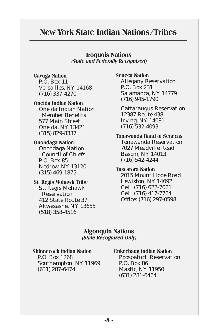#### **New York State Indian Nations/Tribes**

**Iroquois Nations (State and Federally Recognized)**

**Cayuga Nation** P.O. Box 11 Versailles, NY 14168 (716) 337-4270

**Oneida Indian Nation** Oneida Indian Nation Member Benefits 577 Main Street Oneida, NY 13421 (315) 829-8337

**Onondaga Nation** Onondaga Nation Council of Chiefs P.O. Box 85 Nedrow, NY 13120 (315) 469-1875

**St. Regis Mohawk Tribe** St. Regis Mohawk Reservation 412 State Route 37 Akwesasne, NY 13655 (518) 358-4516

**Seneca Nation** Allegany Reservation P.O. Box 231 Salamanca, NY 14779 (716) 945-1790

Cattaraugus Reservation 12387 Route 438 Irving, NY 14081 (716) 532-4093

**Tonawanda Band of Senecas** Tonawanda Reservation 7027 Meadville Road Basom, NY 14013 (716) 542-4244

**Tuscarora Nation** 2015 Mount Hope Road Lewiston, NY 14092 Cell: (716) 622-7061 Cell: (716) 417-7764 Office: (716) 297-0598

#### **Algonquin Nations (State Recognized Only)**

**Shinnecock Indian Nation** P.O. Box 1268 Southampton, NY 11969 (631) 287-6474

**Unkechaug Indian Nation** Poospatuck Reservation

P.O. Box 86 Mastic, NY 11950 (631) 281-6464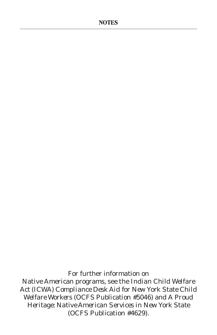For further information on Native American programs, see the *Indian Child Welfare Act (ICWA) Compliance Desk Aid for New York State Child Welfare Workers* (OCFS Publication #5046) and *A Proud Heritage: Native American Services in New York State* (OCFS Publication #4629).